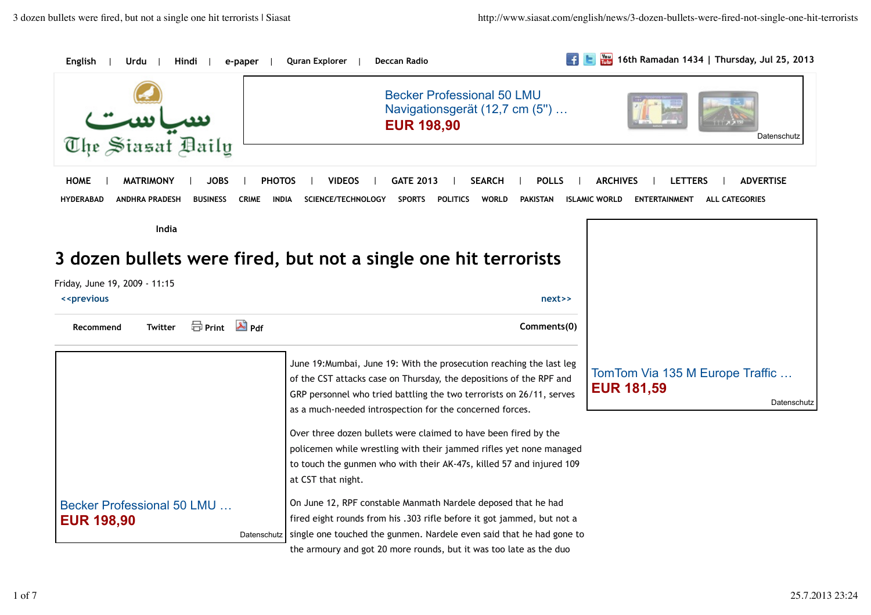| English                                                                | Quran Explorer<br>e-paper                          | Deccan Radio                                                                                                                                                                                                                                                                    | 體<br>16th Ramadan 1434   Thursday, Jul 25, 2013                       |
|------------------------------------------------------------------------|----------------------------------------------------|---------------------------------------------------------------------------------------------------------------------------------------------------------------------------------------------------------------------------------------------------------------------------------|-----------------------------------------------------------------------|
| The Siasat Daily                                                       |                                                    | <b>Becker Professional 50 LMU</b><br>Navigationsgerät (12,7 cm (5")<br><b>EUR 198,90</b>                                                                                                                                                                                        | Datenschutz                                                           |
| <b>HOME</b><br><b>MATRIMONY</b><br>JOBS                                | <b>PHOTOS</b><br>VIDEOS                            | <b>GATE 2013</b><br><b>SEARCH</b><br><b>POLLS</b>                                                                                                                                                                                                                               | <b>ARCHIVES</b><br><b>ADVERTISE</b><br><b>LETTERS</b>                 |
| <b>HYDERABAD</b><br><b>BUSINESS</b><br><b>ANDHRA PRADESH</b>           | <b>CRIME</b><br><b>INDIA</b><br>SCIENCE/TECHNOLOGY | <b>SPORTS</b><br><b>POLITICS</b><br><b>WORLD</b><br><b>PAKISTAN</b>                                                                                                                                                                                                             | <b>ALL CATEGORIES</b><br><b>ISLAMIC WORLD</b><br><b>ENTERTAINMENT</b> |
| India                                                                  |                                                    |                                                                                                                                                                                                                                                                                 |                                                                       |
|                                                                        |                                                    |                                                                                                                                                                                                                                                                                 |                                                                       |
| 3 dozen bullets were fired, but not a single one hit terrorists        |                                                    |                                                                                                                                                                                                                                                                                 |                                                                       |
| Friday, June 19, 2009 - 11:15                                          |                                                    |                                                                                                                                                                                                                                                                                 |                                                                       |
|                                                                        |                                                    |                                                                                                                                                                                                                                                                                 |                                                                       |
| < <previous< td=""><td></td><td>next&gt;&gt;</td><td></td></previous<> |                                                    | next>>                                                                                                                                                                                                                                                                          |                                                                       |
| <b>O</b> Print A Pdf<br>Twitter<br>Recommend                           |                                                    | Comments(0)                                                                                                                                                                                                                                                                     |                                                                       |
|                                                                        |                                                    | June 19: Mumbai, June 19: With the prosecution reaching the last leg<br>of the CST attacks case on Thursday, the depositions of the RPF and<br>GRP personnel who tried battling the two terrorists on 26/11, serves<br>as a much-needed introspection for the concerned forces. | TomTom Via 135 M Europe Traffic<br><b>EUR 181,59</b>                  |
|                                                                        | at CST that night.                                 | Over three dozen bullets were claimed to have been fired by the<br>policemen while wrestling with their jammed rifles yet none managed<br>to touch the gunmen who with their AK-47s, killed 57 and injured 109                                                                  |                                                                       |
| Becker Professional 50 LMU<br><b>EUR 198,90</b>                        |                                                    | On June 12, RPF constable Manmath Nardele deposed that he had<br>fired eight rounds from his .303 rifle before it got jammed, but not a<br>single one touched the gunmen. Nardele even said that he had gone to                                                                 | Datenschutz                                                           |